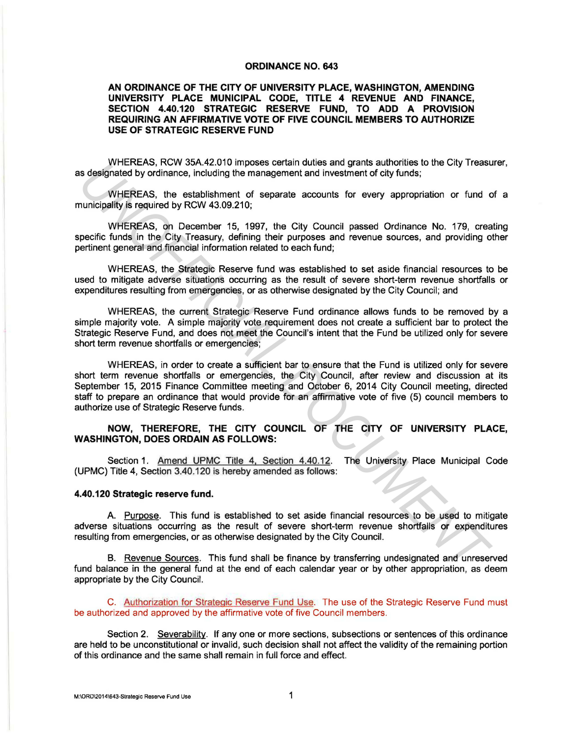## **ORDINANCE NO. 643**

## **AN ORDINANCE OF THE CITY OF UNIVERSITY PLACE, WASHINGTON, AMENDING UNIVERSITY PLACE MUNICIPAL CODE, TITLE 4 REVENUE AND FINANCE, SECTION 4.40.120 STRATEGIC RESERVE FUND, TO ADD A PROVISION REQUIRING AN AFFIRMATIVE VOTE OF FIVE COUNCIL MEMBERS TO AUTHORIZE USE OF STRATEGIC RESERVE FUND**

WHEREAS, RCW 35A.42.010 imposes certain duties and grants authorities to the City Treasurer, as designated by ordinance, including the management and investment of city funds;

WHEREAS, the establishment of separate accounts for every appropriation or fund of a municipality is required by RCW 43.09.210;

WHEREAS, on December 15, 1997, the City Council passed Ordinance No. 179, creating specific funds in the City Treasury, defining their purposes and revenue sources, and providing other pertinent general and financial information related to each fund;

WHEREAS, the Strategic Reserve fund was established to set aside financial resources to be used to mitigate adverse situations occurring as the result of severe short-term revenue shortfalls or expenditures resulting from emergencies, or as otherwise designated by the City Council; and

WHEREAS, the current Strategic Reserve Fund ordinance allows funds to be removed by a simple majority vote. A simple majority vote requirement does not create a sufficient bar to protect the Strategic Reserve Fund, and does not meet the Council's intent that the Fund be utilized only for severe short term revenue shortfalls or emergencies;

WHEREAS, in order to create a sufficient bar to ensure that the Fund is utilized only for severe short term revenue shortfalls or emergencies, the City Council, after review and discussion at its September 15, 2015 Finance Committee meeting and October 6, 2014 City Council meeting, directed staff to prepare an ordinance that would provide for an affirmative vote of five (5) council members to authorize use of Strategic Reserve funds. WHEREAS, they as a constrained that are grantal attack and grantal autorchies the City Treasure (and the stablishment of separate accounts for every appropriation or fund consider the City Treasure of the stablishment of s

## **NOW, THEREFORE, THE CITY COUNCIL OF THE CITY OF UNIVERSITY PLACE, WASHINGTON, DOES ORDAIN AS FOLLOWS:**

Section 1. Amend UPMC Title 4, Section 4.40.12. The University Place Municipal Code (UPMC) Title 4, Section 3.40.120 is hereby amended as follows:

## **4.40.120 Strategic reserve fund.**

A. Purpose. This fund is established to set aside financial resources to be used to mitigate adverse situations occurring as the result of severe short-term revenue shortfalls or expenditures resulting from emergencies, or as otherwise designated by the City Council.

B. Revenue Sources. This fund shall be finance by transferring undesignated and unreserved fund balance in the general fund at the end of each calendar year or by other appropriation, as deem appropriate by the City Council.

C. Authorization for Strategic Reserve Fund Use. The use of the Strategic Reserve Fund must be authorized and approved by the affirmative vote of five Council members.

Section 2. Severability. ff any one or more sections, subsections or sentences of this ordinance are held to be unconstitutional or invalid, such decision shall not affect the validity of the remaining portion of this ordinance and the same shall remain in full force and effect.